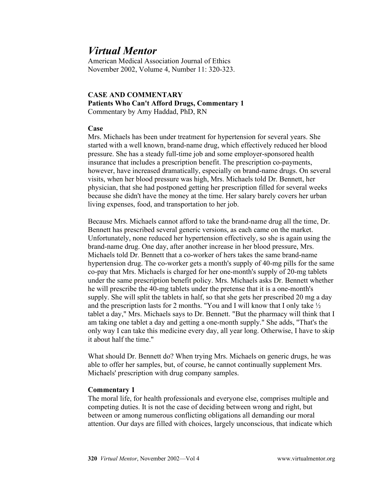# *Virtual Mentor*

American Medical Association Journal of Ethics November 2002, Volume 4, Number 11: 320-323.

# **CASE AND COMMENTARY Patients Who Can't Afford Drugs, Commentary 1** Commentary by Amy Haddad, PhD, RN

### **Case**

Mrs. Michaels has been under treatment for hypertension for several years. She started with a well known, brand-name drug, which effectively reduced her blood pressure. She has a steady full-time job and some employer-sponsored health insurance that includes a prescription benefit. The prescription co-payments, however, have increased dramatically, especially on brand-name drugs. On several visits, when her blood pressure was high, Mrs. Michaels told Dr. Bennett, her physician, that she had postponed getting her prescription filled for several weeks because she didn't have the money at the time. Her salary barely covers her urban living expenses, food, and transportation to her job.

Because Mrs. Michaels cannot afford to take the brand-name drug all the time, Dr. Bennett has prescribed several generic versions, as each came on the market. Unfortunately, none reduced her hypertension effectively, so she is again using the brand-name drug. One day, after another increase in her blood pressure, Mrs. Michaels told Dr. Bennett that a co-worker of hers takes the same brand-name hypertension drug. The co-worker gets a month's supply of 40-mg pills for the same co-pay that Mrs. Michaels is charged for her one-month's supply of 20-mg tablets under the same prescription benefit policy. Mrs. Michaels asks Dr. Bennett whether he will prescribe the 40-mg tablets under the pretense that it is a one-month's supply. She will split the tablets in half, so that she gets her prescribed 20 mg a day and the prescription lasts for 2 months. "You and I will know that I only take ½ tablet a day," Mrs. Michaels says to Dr. Bennett. "But the pharmacy will think that I am taking one tablet a day and getting a one-month supply." She adds, "That's the only way I can take this medicine every day, all year long. Otherwise, I have to skip it about half the time."

What should Dr. Bennett do? When trying Mrs. Michaels on generic drugs, he was able to offer her samples, but, of course, he cannot continually supplement Mrs. Michaels' prescription with drug company samples.

# **Commentary 1**

The moral life, for health professionals and everyone else, comprises multiple and competing duties. It is not the case of deciding between wrong and right, but between or among numerous conflicting obligations all demanding our moral attention. Our days are filled with choices, largely unconscious, that indicate which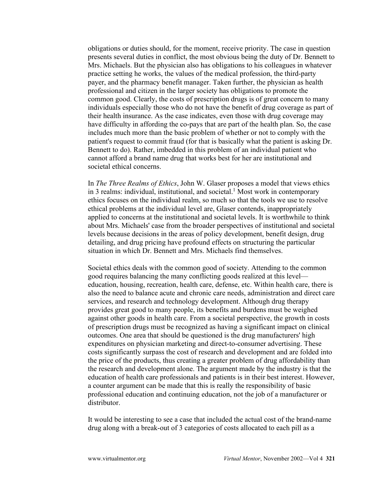obligations or duties should, for the moment, receive priority. The case in question presents several duties in conflict, the most obvious being the duty of Dr. Bennett to Mrs. Michaels. But the physician also has obligations to his colleagues in whatever practice setting he works, the values of the medical profession, the third-party payer, and the pharmacy benefit manager. Taken further, the physician as health professional and citizen in the larger society has obligations to promote the common good. Clearly, the costs of prescription drugs is of great concern to many individuals especially those who do not have the benefit of drug coverage as part of their health insurance. As the case indicates, even those with drug coverage may have difficulty in affording the co-pays that are part of the health plan. So, the case includes much more than the basic problem of whether or not to comply with the patient's request to commit fraud (for that is basically what the patient is asking Dr. Bennett to do). Rather, imbedded in this problem of an individual patient who cannot afford a brand name drug that works best for her are institutional and societal ethical concerns.

In *The Three Realms of Ethics*, John W. Glaser proposes a model that views ethics in 3 realms: individual, institutional, and societal.<sup>1</sup> Most work in contemporary ethics focuses on the individual realm, so much so that the tools we use to resolve ethical problems at the individual level are, Glaser contends, inappropriately applied to concerns at the institutional and societal levels. It is worthwhile to think about Mrs. Michaels' case from the broader perspectives of institutional and societal levels because decisions in the areas of policy development, benefit design, drug detailing, and drug pricing have profound effects on structuring the particular situation in which Dr. Bennett and Mrs. Michaels find themselves.

Societal ethics deals with the common good of society. Attending to the common good requires balancing the many conflicting goods realized at this level education, housing, recreation, health care, defense, etc. Within health care, there is also the need to balance acute and chronic care needs, administration and direct care services, and research and technology development. Although drug therapy provides great good to many people, its benefits and burdens must be weighed against other goods in health care. From a societal perspective, the growth in costs of prescription drugs must be recognized as having a significant impact on clinical outcomes. One area that should be questioned is the drug manufacturers' high expenditures on physician marketing and direct-to-consumer advertising. These costs significantly surpass the cost of research and development and are folded into the price of the products, thus creating a greater problem of drug affordability than the research and development alone. The argument made by the industry is that the education of health care professionals and patients is in their best interest. However, a counter argument can be made that this is really the responsibility of basic professional education and continuing education, not the job of a manufacturer or distributor.

It would be interesting to see a case that included the actual cost of the brand-name drug along with a break-out of 3 categories of costs allocated to each pill as a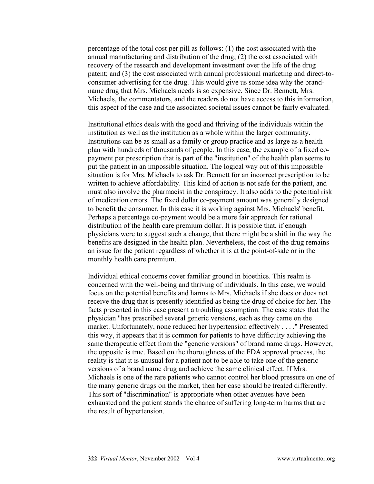percentage of the total cost per pill as follows: (1) the cost associated with the annual manufacturing and distribution of the drug; (2) the cost associated with recovery of the research and development investment over the life of the drug patent; and (3) the cost associated with annual professional marketing and direct-toconsumer advertising for the drug. This would give us some idea why the brandname drug that Mrs. Michaels needs is so expensive. Since Dr. Bennett, Mrs. Michaels, the commentators, and the readers do not have access to this information, this aspect of the case and the associated societal issues cannot be fairly evaluated.

Institutional ethics deals with the good and thriving of the individuals within the institution as well as the institution as a whole within the larger community. Institutions can be as small as a family or group practice and as large as a health plan with hundreds of thousands of people. In this case, the example of a fixed copayment per prescription that is part of the "institution" of the health plan seems to put the patient in an impossible situation. The logical way out of this impossible situation is for Mrs. Michaels to ask Dr. Bennett for an incorrect prescription to be written to achieve affordability. This kind of action is not safe for the patient, and must also involve the pharmacist in the conspiracy. It also adds to the potential risk of medication errors. The fixed dollar co-payment amount was generally designed to benefit the consumer. In this case it is working against Mrs. Michaels' benefit. Perhaps a percentage co-payment would be a more fair approach for rational distribution of the health care premium dollar. It is possible that, if enough physicians were to suggest such a change, that there might be a shift in the way the benefits are designed in the health plan. Nevertheless, the cost of the drug remains an issue for the patient regardless of whether it is at the point-of-sale or in the monthly health care premium.

Individual ethical concerns cover familiar ground in bioethics. This realm is concerned with the well-being and thriving of individuals. In this case, we would focus on the potential benefits and harms to Mrs. Michaels if she does or does not receive the drug that is presently identified as being the drug of choice for her. The facts presented in this case present a troubling assumption. The case states that the physician "has prescribed several generic versions, each as they came on the market. Unfortunately, none reduced her hypertension effectively . . . ." Presented this way, it appears that it is common for patients to have difficulty achieving the same therapeutic effect from the "generic versions" of brand name drugs. However, the opposite is true. Based on the thoroughness of the FDA approval process, the reality is that it is unusual for a patient not to be able to take one of the generic versions of a brand name drug and achieve the same clinical effect. If Mrs. Michaels is one of the rare patients who cannot control her blood pressure on one of the many generic drugs on the market, then her case should be treated differently. This sort of "discrimination" is appropriate when other avenues have been exhausted and the patient stands the chance of suffering long-term harms that are the result of hypertension.